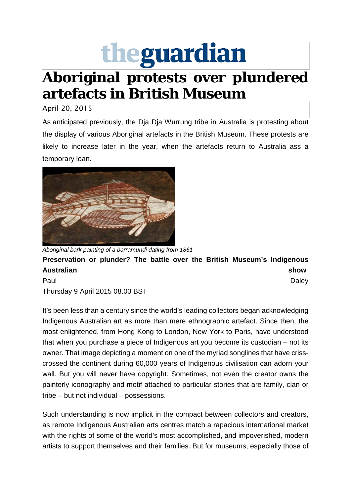## theguardian

## **Aboriginal protests over plundered artefacts in British Museum**

April 20, 2015

As anticipated previously, the Dja Dja Wurrung tribe in Australia is protesting about the display of various Aboriginal artefacts in the British Museum. These protests are likely to increase later in the year, when the artefacts return to Australia ass a temporary loan.



*Aboriginal bark painting of a barramundi dating from 1861* **Preservation or plunder? The battle over the British Museum's Indigenous Australian show** Paul Daley (2008) and the contract of the contract of the contract of the Daley Daley

Thursday 9 April 2015 08.00 BST

It's been less than a century since the world's leading collectors began acknowledging Indigenous Australian art as more than mere ethnographic artefact. Since then, the most enlightened, from Hong Kong to London, New York to Paris, have understood that when you purchase a piece of Indigenous art you become its custodian – not its owner. That image depicting a moment on one of the myriad songlines that have crisscrossed the continent during 60,000 years of Indigenous civilisation can adorn your wall. But you will never have copyright. Sometimes, not even the creator owns the painterly iconography and motif attached to particular stories that are family, clan or tribe – but not individual – possessions.

Such understanding is now implicit in the compact between collectors and creators, as remote Indigenous Australian arts centres match a rapacious international market with the rights of some of the world's most accomplished, and impoverished, modern artists to support themselves and their families. But for museums, especially those of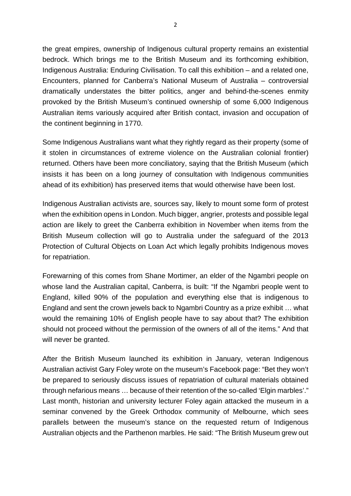the great empires, ownership of Indigenous cultural property remains an existential bedrock. Which brings me to the British Museum and its forthcoming exhibition, Indigenous Australia: Enduring Civilisation. To call this exhibition – and a related one, Encounters, planned for Canberra's National Museum of Australia – controversial dramatically understates the bitter politics, anger and behind-the-scenes enmity provoked by the British Museum's continued ownership of some 6,000 Indigenous Australian items variously acquired after British contact, invasion and occupation of the continent beginning in 1770.

Some Indigenous Australians want what they rightly regard as their property (some of it stolen in circumstances of extreme violence on the Australian colonial frontier) returned. Others have been more conciliatory, saying that the British Museum (which insists it has been on a long journey of consultation with Indigenous communities ahead of its exhibition) has preserved items that would otherwise have been lost.

Indigenous Australian activists are, sources say, likely to mount some form of protest when the exhibition opens in London. Much bigger, angrier, protests and possible legal action are likely to greet the Canberra exhibition in November when items from the British Museum collection will go to Australia under the safeguard of the 2013 Protection of Cultural Objects on Loan Act which legally prohibits Indigenous moves for repatriation.

Forewarning of this comes from Shane Mortimer, an elder of the Ngambri people on whose land the Australian capital, Canberra, is built: "If the Ngambri people went to England, killed 90% of the population and everything else that is indigenous to England and sent the crown jewels back to Ngambri Country as a prize exhibit … what would the remaining 10% of English people have to say about that? The exhibition should not proceed without the permission of the owners of all of the items." And that will never be granted.

After the British Museum launched its exhibition in January, veteran Indigenous Australian activist Gary Foley wrote on the museum's Facebook page: "Bet they won't be prepared to seriously discuss issues of repatriation of cultural materials obtained through nefarious means … because of their retention of the so-called 'Elgin marbles'." Last month, historian and university lecturer Foley again attacked the museum in a seminar convened by the Greek Orthodox community of Melbourne, which sees parallels between the museum's stance on the requested return of Indigenous Australian objects and the Parthenon marbles. He said: "The British Museum grew out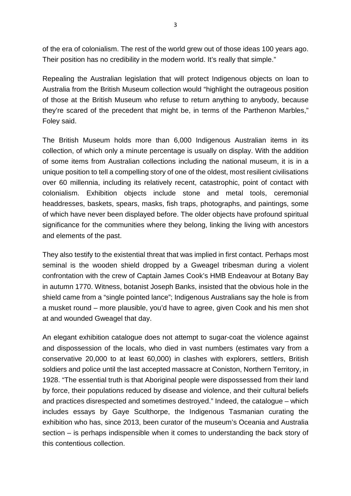of the era of colonialism. The rest of the world grew out of those ideas 100 years ago. Their position has no credibility in the modern world. It's really that simple."

Repealing the Australian legislation that will protect Indigenous objects on loan to Australia from the British Museum collection would "highlight the outrageous position of those at the British Museum who refuse to return anything to anybody, because they're scared of the precedent that might be, in terms of the Parthenon Marbles," Foley said.

The British Museum holds more than 6,000 Indigenous Australian items in its collection, of which only a minute percentage is usually on display. With the addition of some items from Australian collections including the national museum, it is in a unique position to tell a compelling story of one of the oldest, most resilient civilisations over 60 millennia, including its relatively recent, catastrophic, point of contact with colonialism. Exhibition objects include stone and metal tools, ceremonial headdresses, baskets, spears, masks, fish traps, photographs, and paintings, some of which have never been displayed before. The older objects have profound spiritual significance for the communities where they belong, linking the living with ancestors and elements of the past.

They also testify to the existential threat that was implied in first contact. Perhaps most seminal is the wooden shield dropped by a Gweagel tribesman during a violent confrontation with the crew of Captain James Cook's HMB Endeavour at Botany Bay in autumn 1770. Witness, botanist Joseph Banks, insisted that the obvious hole in the shield came from a "single pointed lance"; Indigenous Australians say the hole is from a musket round – more plausible, you'd have to agree, given Cook and his men shot at and wounded Gweagel that day.

An elegant exhibition catalogue does not attempt to sugar-coat the violence against and dispossession of the locals, who died in vast numbers (estimates vary from a conservative 20,000 to at least 60,000) in clashes with explorers, settlers, British soldiers and police until the last accepted massacre at Coniston, Northern Territory, in 1928. "The essential truth is that Aboriginal people were dispossessed from their land by force, their populations reduced by disease and violence, and their cultural beliefs and practices disrespected and sometimes destroyed." Indeed, the catalogue – which includes essays by Gaye Sculthorpe, the Indigenous Tasmanian curating the exhibition who has, since 2013, been curator of the museum's Oceania and Australia section – is perhaps indispensible when it comes to understanding the back story of this contentious collection.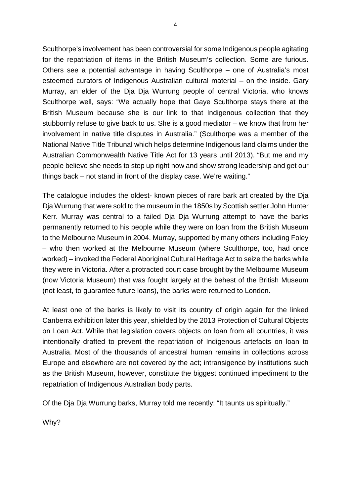Sculthorpe's involvement has been controversial for some Indigenous people agitating for the repatriation of items in the British Museum's collection. Some are furious. Others see a potential advantage in having Sculthorpe – one of Australia's most esteemed curators of Indigenous Australian cultural material – on the inside. Gary Murray, an elder of the Dja Dja Wurrung people of central Victoria, who knows Sculthorpe well, says: "We actually hope that Gaye Sculthorpe stays there at the British Museum because she is our link to that Indigenous collection that they stubbornly refuse to give back to us. She is a good mediator – we know that from her involvement in native title disputes in Australia." (Sculthorpe was a member of the National Native Title Tribunal which helps determine Indigenous land claims under the Australian Commonwealth Native Title Act for 13 years until 2013). "But me and my people believe she needs to step up right now and show strong leadership and get our things back – not stand in front of the display case. We're waiting."

The catalogue includes the oldest- known pieces of rare bark art created by the Dja Dja Wurrung that were sold to the museum in the 1850s by Scottish settler John Hunter Kerr. Murray was central to a failed Dja Dja Wurrung attempt to have the barks permanently returned to his people while they were on loan from the British Museum to the Melbourne Museum in 2004. Murray, supported by many others including Foley – who then worked at the Melbourne Museum (where Sculthorpe, too, had once worked) – invoked the Federal Aboriginal Cultural Heritage Act to seize the barks while they were in Victoria. After a protracted court case brought by the Melbourne Museum (now Victoria Museum) that was fought largely at the behest of the British Museum (not least, to guarantee future loans), the barks were returned to London.

At least one of the barks is likely to visit its country of origin again for the linked Canberra exhibition later this year, shielded by the 2013 Protection of Cultural Objects on Loan Act. While that legislation covers objects on loan from all countries, it was intentionally drafted to prevent the repatriation of Indigenous artefacts on loan to Australia. Most of the thousands of ancestral human remains in collections across Europe and elsewhere are not covered by the act; intransigence by institutions such as the British Museum, however, constitute the biggest continued impediment to the repatriation of Indigenous Australian body parts.

Of the Dja Dja Wurrung barks, Murray told me recently: "It taunts us spiritually."

Why?